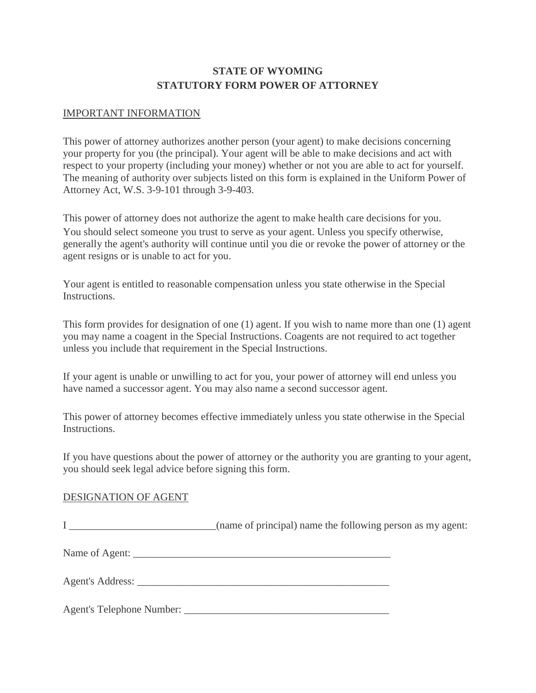### **STATE OF WYOMING STATUTORY FORM POWER OF ATTORNEY**

#### IMPORTANT INFORMATION

This power of attorney authorizes another person (your agent) to make decisions concerning your property for you (the principal). Your agent will be able to make decisions and act with respect to your property (including your money) whether or not you are able to act for yourself. The meaning of authority over subjects listed on this form is explained in the Uniform Power of Attorney Act, W.S. 3-9-101 through 3-9-403.

This power of attorney does not authorize the agent to make health care decisions for you. You should select someone you trust to serve as your agent. Unless you specify otherwise, generally the agent's authority will continue until you die or revoke the power of attorney or the agent resigns or is unable to act for you.

Your agent is entitled to reasonable compensation unless you state otherwise in the Special Instructions.

This form provides for designation of one (1) agent. If you wish to name more than one (1) agent you may name a coagent in the Special Instructions. Coagents are not required to act together unless you include that requirement in the Special Instructions.

If your agent is unable or unwilling to act for you, your power of attorney will end unless you have named a successor agent. You may also name a second successor agent.

This power of attorney becomes effective immediately unless you state otherwise in the Special Instructions.

If you have questions about the power of attorney or the authority you are granting to your agent, you should seek legal advice before signing this form.

#### DESIGNATION OF AGENT

| <u>I ____________________________</u> | (name of principal) name the following person as my agent: |  |  |
|---------------------------------------|------------------------------------------------------------|--|--|
|                                       |                                                            |  |  |
|                                       |                                                            |  |  |
|                                       |                                                            |  |  |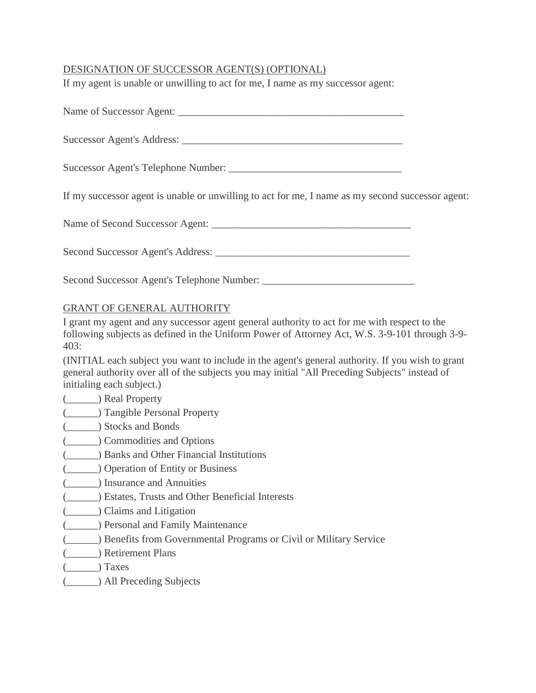### DESIGNATION OF SUCCESSOR AGENT(S) (OPTIONAL)

If my agent is unable or unwilling to act for me, I name as my successor agent:

| Name of Successor Agent: |  |
|--------------------------|--|
|                          |  |

Successor Agent's Address: \_\_\_\_\_\_\_\_\_\_\_\_\_\_\_\_\_\_\_\_\_\_\_\_\_\_\_\_\_\_\_\_\_\_\_\_\_\_\_\_\_\_

Successor Agent's Telephone Number: \_\_\_\_\_\_\_\_\_\_\_\_\_\_\_\_\_\_\_\_\_\_\_\_\_\_\_\_\_\_\_\_\_

If my successor agent is unable or unwilling to act for me, I name as my second successor agent:

Name of Second Successor Agent: \_\_\_\_\_\_\_\_\_\_\_\_\_\_\_\_\_\_\_\_\_\_\_\_\_\_\_\_\_\_\_\_\_\_\_\_\_\_

Second Successor Agent's Address: \_\_\_\_\_\_\_\_\_\_\_\_\_\_\_\_\_\_\_\_\_\_\_\_\_\_\_\_\_\_\_\_\_\_\_\_\_

Second Successor Agent's Telephone Number: \_\_\_\_\_\_\_\_\_\_\_\_\_\_\_\_\_\_\_\_\_\_\_\_\_\_\_\_\_

#### GRANT OF GENERAL AUTHORITY

I grant my agent and any successor agent general authority to act for me with respect to the following subjects as defined in the Uniform Power of Attorney Act, W.S. 3-9-101 through 3-9- 403:

(INITIAL each subject you want to include in the agent's general authority. If you wish to grant general authority over all of the subjects you may initial "All Preceding Subjects" instead of initialing each subject.)

#### (\_\_\_\_\_\_) Real Property

- (\_\_\_\_\_\_) Tangible Personal Property
- (\_\_\_\_\_\_) Stocks and Bonds
- (\_\_\_\_\_\_) Commodities and Options
- (\_\_\_\_\_\_) Banks and Other Financial Institutions
- (\_\_\_\_\_\_) Operation of Entity or Business
- (\_\_\_\_\_\_) Insurance and Annuities
- (\_\_\_\_\_\_) Estates, Trusts and Other Beneficial Interests
- (\_\_\_\_\_\_) Claims and Litigation
- (\_\_\_\_\_\_) Personal and Family Maintenance
- (\_\_\_\_\_\_) Benefits from Governmental Programs or Civil or Military Service
- (\_\_\_\_\_\_) Retirement Plans
- (\_\_\_\_\_\_) Taxes
- (\_\_\_\_\_\_) All Preceding Subjects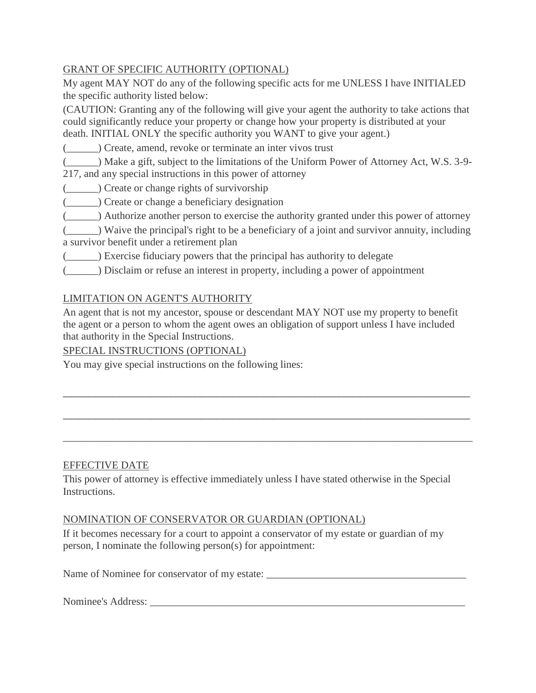### GRANT OF SPECIFIC AUTHORITY (OPTIONAL)

My agent MAY NOT do any of the following specific acts for me UNLESS I have INITIALED the specific authority listed below:

(CAUTION: Granting any of the following will give your agent the authority to take actions that could significantly reduce your property or change how your property is distributed at your death. INITIAL ONLY the specific authority you WANT to give your agent.)

(\_\_\_\_\_\_) Create, amend, revoke or terminate an inter vivos trust

(\_\_\_\_\_\_) Make a gift, subject to the limitations of the Uniform Power of Attorney Act, W.S. 3-9- 217, and any special instructions in this power of attorney

- (\_\_\_\_\_\_) Create or change rights of survivorship
- (\_\_\_\_\_\_) Create or change a beneficiary designation
- (\_\_\_\_\_\_) Authorize another person to exercise the authority granted under this power of attorney
- (\_\_\_\_\_\_) Waive the principal's right to be a beneficiary of a joint and survivor annuity, including a survivor benefit under a retirement plan
- (\_\_\_\_\_\_) Exercise fiduciary powers that the principal has authority to delegate

(\_\_\_\_\_\_) Disclaim or refuse an interest in property, including a power of appointment

## LIMITATION ON AGENT'S AUTHORITY

An agent that is not my ancestor, spouse or descendant MAY NOT use my property to benefit the agent or a person to whom the agent owes an obligation of support unless I have included that authority in the Special Instructions.

\_\_\_\_\_\_\_\_\_\_\_\_\_\_\_\_\_\_\_\_\_\_\_\_\_\_\_\_\_\_\_\_\_\_\_\_\_\_\_\_\_\_\_\_\_\_\_\_\_\_\_\_\_\_\_\_\_\_\_\_\_\_\_\_\_\_\_\_\_\_\_\_\_\_\_\_\_\_\_\_\_\_\_\_\_

\_\_\_\_\_\_\_\_\_\_\_\_\_\_\_\_\_\_\_\_\_\_\_\_\_\_\_\_\_\_\_\_\_\_\_\_\_\_\_\_\_\_\_\_\_\_\_\_\_\_\_\_\_\_\_\_\_\_\_\_\_\_\_\_\_\_\_\_\_\_\_\_\_\_\_\_\_\_\_\_\_\_\_\_\_

\_\_\_\_\_\_\_\_\_\_\_\_\_\_\_\_\_\_\_\_\_\_\_\_\_\_\_\_\_\_\_\_\_\_\_\_\_\_\_\_\_\_\_\_\_\_\_\_\_\_\_\_\_\_\_\_\_\_\_\_\_\_\_\_\_\_\_\_\_\_\_\_\_\_\_\_\_\_

SPECIAL INSTRUCTIONS (OPTIONAL)

You may give special instructions on the following lines:

## EFFECTIVE DATE

This power of attorney is effective immediately unless I have stated otherwise in the Special Instructions.

#### NOMINATION OF CONSERVATOR OR GUARDIAN (OPTIONAL)

If it becomes necessary for a court to appoint a conservator of my estate or guardian of my person, I nominate the following person(s) for appointment:

Name of Nominee for conservator of my estate: \_\_\_\_\_\_\_\_\_\_\_\_\_\_\_\_\_\_\_\_\_\_\_\_\_\_\_\_\_\_\_\_\_\_\_\_\_\_

Nominee's Address: \_\_\_\_\_\_\_\_\_\_\_\_\_\_\_\_\_\_\_\_\_\_\_\_\_\_\_\_\_\_\_\_\_\_\_\_\_\_\_\_\_\_\_\_\_\_\_\_\_\_\_\_\_\_\_\_\_\_\_\_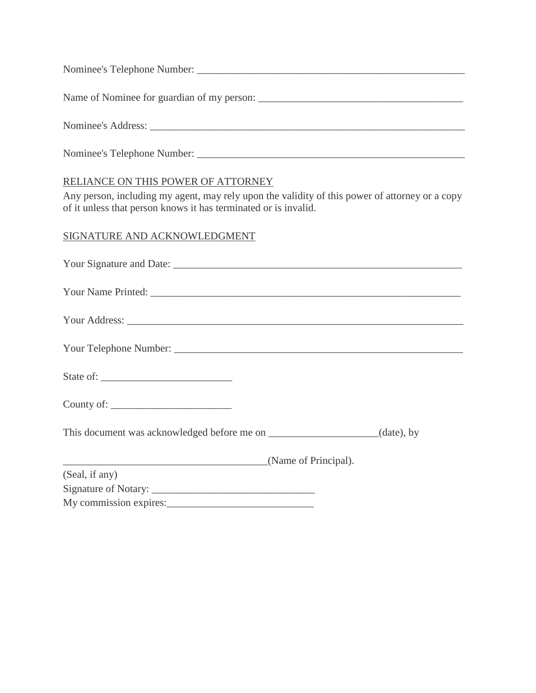| Nominee's Address: Latin Communication Communication Communication Communication Communication Communication Communication Communication Communication Communication Communication Communication Communication Communication C |
|--------------------------------------------------------------------------------------------------------------------------------------------------------------------------------------------------------------------------------|
|                                                                                                                                                                                                                                |
|                                                                                                                                                                                                                                |

### RELIANCE ON THIS POWER OF ATTORNEY

Any person, including my agent, may rely upon the validity of this power of attorney or a copy of it unless that person knows it has terminated or is invalid.

## SIGNATURE AND ACKNOWLEDGMENT

| (Name of Principal). |  |
|----------------------|--|
| (Seal, if any)       |  |
|                      |  |
|                      |  |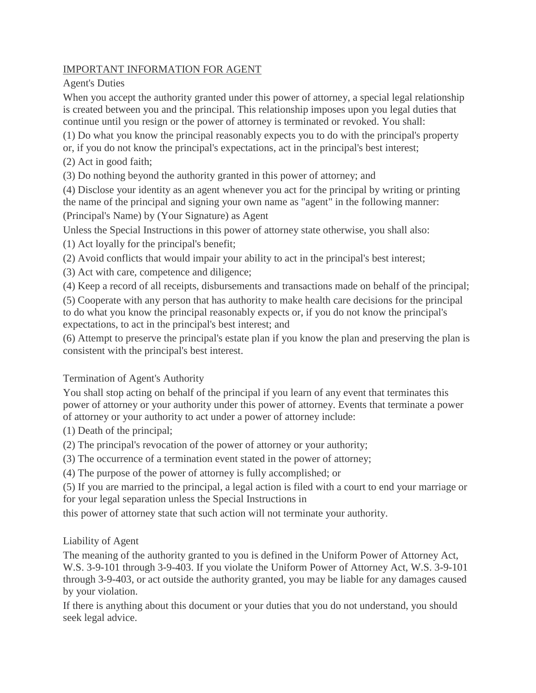## IMPORTANT INFORMATION FOR AGENT

Agent's Duties

When you accept the authority granted under this power of attorney, a special legal relationship is created between you and the principal. This relationship imposes upon you legal duties that continue until you resign or the power of attorney is terminated or revoked. You shall:

(1) Do what you know the principal reasonably expects you to do with the principal's property or, if you do not know the principal's expectations, act in the principal's best interest;

(2) Act in good faith;

(3) Do nothing beyond the authority granted in this power of attorney; and

(4) Disclose your identity as an agent whenever you act for the principal by writing or printing the name of the principal and signing your own name as "agent" in the following manner: (Principal's Name) by (Your Signature) as Agent

Unless the Special Instructions in this power of attorney state otherwise, you shall also:

(1) Act loyally for the principal's benefit;

(2) Avoid conflicts that would impair your ability to act in the principal's best interest;

(3) Act with care, competence and diligence;

(4) Keep a record of all receipts, disbursements and transactions made on behalf of the principal;

(5) Cooperate with any person that has authority to make health care decisions for the principal to do what you know the principal reasonably expects or, if you do not know the principal's expectations, to act in the principal's best interest; and

(6) Attempt to preserve the principal's estate plan if you know the plan and preserving the plan is consistent with the principal's best interest.

## Termination of Agent's Authority

You shall stop acting on behalf of the principal if you learn of any event that terminates this power of attorney or your authority under this power of attorney. Events that terminate a power of attorney or your authority to act under a power of attorney include:

(1) Death of the principal;

(2) The principal's revocation of the power of attorney or your authority;

(3) The occurrence of a termination event stated in the power of attorney;

(4) The purpose of the power of attorney is fully accomplished; or

(5) If you are married to the principal, a legal action is filed with a court to end your marriage or for your legal separation unless the Special Instructions in

this power of attorney state that such action will not terminate your authority.

## Liability of Agent

The meaning of the authority granted to you is defined in the Uniform Power of Attorney Act, W.S. 3-9-101 through 3-9-403. If you violate the Uniform Power of Attorney Act, W.S. 3-9-101 through 3-9-403, or act outside the authority granted, you may be liable for any damages caused by your violation.

If there is anything about this document or your duties that you do not understand, you should seek legal advice.